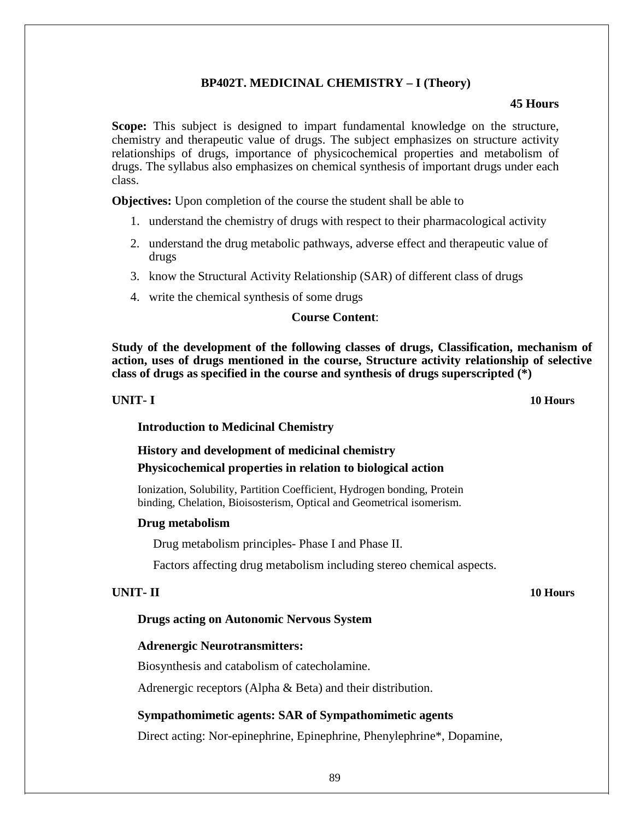# **BP402T. MEDICINAL CHEMISTRY – I (Theory)**

# **45 Hours**

**Scope:** This subject is designed to impart fundamental knowledge on the structure, chemistry and therapeutic value of drugs. The subject emphasizes on structure activity relationships of drugs, importance of physicochemical properties and metabolism of drugs. The syllabus also emphasizes on chemical synthesis of important drugs under each class.

**Objectives:** Upon completion of the course the student shall be able to

- 1. understand the chemistry of drugs with respect to their pharmacological activity
- 2. understand the drug metabolic pathways, adverse effect and therapeutic value of drugs
- 3. know the Structural Activity Relationship (SAR) of different class of drugs
- 4. write the chemical synthesis of some drugs

# **Course Content**:

**Study of the development of the following classes of drugs, Classification, mechanism of action, uses of drugs mentioned in the course, Structure activity relationship of selective class of drugs as specified in the course and synthesis of drugs superscripted (\*)**

## **UNIT- I 10 Hours**

**Introduction to Medicinal Chemistry**

# **History and development of medicinal chemistry**

**Physicochemical properties in relation to biological action**

Ionization, Solubility, Partition Coefficient, Hydrogen bonding, Protein binding, Chelation, Bioisosterism, Optical and Geometrical isomerism.

# **Drug metabolism**

Drug metabolism principles- Phase I and Phase II.

Factors affecting drug metabolism including stereo chemical aspects.

# **UNIT- II 10 Hours**

# **Drugs acting on Autonomic Nervous System**

# **Adrenergic Neurotransmitters:**

Biosynthesis and catabolism of catecholamine.

Adrenergic receptors (Alpha & Beta) and their distribution.

# **Sympathomimetic agents: SAR of Sympathomimetic agents**

Direct acting: Nor-epinephrine, Epinephrine, Phenylephrine\*, Dopamine,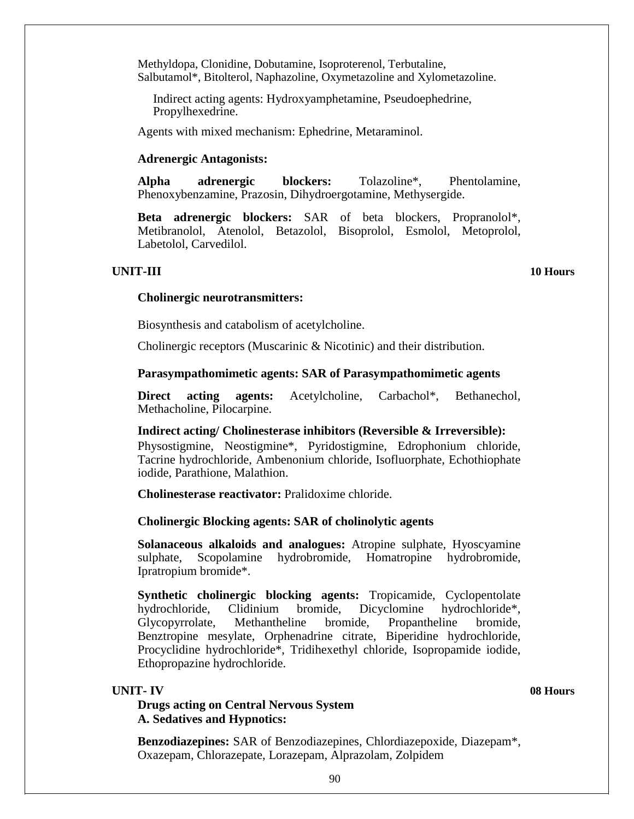Methyldopa, Clonidine, Dobutamine, Isoproterenol, Terbutaline, Salbutamol\*, Bitolterol, Naphazoline, Oxymetazoline and Xylometazoline.

Indirect acting agents: Hydroxyamphetamine, Pseudoephedrine, Propylhexedrine.

Agents with mixed mechanism: Ephedrine, Metaraminol.

# **Adrenergic Antagonists:**

**Alpha adrenergic blockers:** Tolazoline\*, Phentolamine, Phenoxybenzamine, Prazosin, Dihydroergotamine, Methysergide.

**Beta adrenergic blockers:** SAR of beta blockers, Propranolol\*, Metibranolol, Atenolol, Betazolol, Bisoprolol, Esmolol, Metoprolol, Labetolol, Carvedilol.

# **UNIT-III 10 Hours**

### **Cholinergic neurotransmitters:**

Biosynthesis and catabolism of acetylcholine.

Cholinergic receptors (Muscarinic & Nicotinic) and their distribution.

## **Parasympathomimetic agents: SAR of Parasympathomimetic agents**

**Direct acting agents:** Acetylcholine, Carbachol\*, Bethanechol, Methacholine, Pilocarpine.

### **Indirect acting/ Cholinesterase inhibitors (Reversible & Irreversible):**

Physostigmine, Neostigmine\*, Pyridostigmine, Edrophonium chloride, Tacrine hydrochloride, Ambenonium chloride, Isofluorphate, Echothiophate iodide, Parathione, Malathion.

**Cholinesterase reactivator:** Pralidoxime chloride.

### **Cholinergic Blocking agents: SAR of cholinolytic agents**

**Solanaceous alkaloids and analogues:** Atropine sulphate, Hyoscyamine sulphate, Scopolamine hydrobromide, Homatropine hydrobromide, Ipratropium bromide\*.

**Synthetic cholinergic blocking agents:** Tropicamide, Cyclopentolate hydrochloride, Clidinium bromide, Dicyclomine hydrochloride\*, Glycopyrrolate, Methantheline bromide, Propantheline bromide, Benztropine mesylate, Orphenadrine citrate, Biperidine hydrochloride, Procyclidine hydrochloride\*, Tridihexethyl chloride, Isopropamide iodide, Ethopropazine hydrochloride.

## **UNIT- IV 08 Hours**

# **Drugs acting on Central Nervous System A. Sedatives and Hypnotics:**

**Benzodiazepines:** SAR of Benzodiazepines, Chlordiazepoxide, Diazepam\*, Oxazepam, Chlorazepate, Lorazepam, Alprazolam, Zolpidem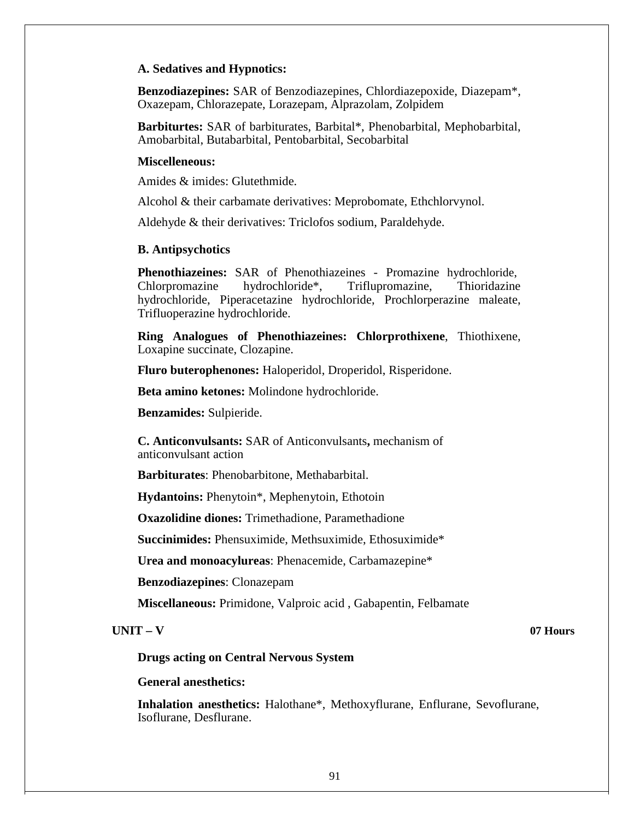# **A. Sedatives and Hypnotics:**

**Benzodiazepines:** SAR of Benzodiazepines, Chlordiazepoxide, Diazepam\*, Oxazepam, Chlorazepate, Lorazepam, Alprazolam, Zolpidem

**Barbiturtes:** SAR of barbiturates, Barbital\*, Phenobarbital, Mephobarbital, Amobarbital, Butabarbital, Pentobarbital, Secobarbital

# **Miscelleneous:**

Amides & imides: Glutethmide.

Alcohol & their carbamate derivatives: Meprobomate, Ethchlorvynol.

Aldehyde & their derivatives: Triclofos sodium, Paraldehyde.

# **B. Antipsychotics**

**Phenothiazeines:** SAR of Phenothiazeines - Promazine hydrochloride, Chlorpromazine hydrochloride\*, Triflupromazine, Thioridazine hydrochloride, Piperacetazine hydrochloride, Prochlorperazine maleate, Trifluoperazine hydrochloride.

**Ring Analogues of Phenothiazeines: Chlorprothixene**, Thiothixene, Loxapine succinate, Clozapine.

**Fluro buterophenones:** Haloperidol, Droperidol, Risperidone.

**Beta amino ketones:** Molindone hydrochloride.

**Benzamides:** Sulpieride.

**C. Anticonvulsants:** SAR of Anticonvulsants**,** mechanism of anticonvulsant action

**Barbiturates**: Phenobarbitone, Methabarbital.

**Hydantoins:** Phenytoin\*, Mephenytoin, Ethotoin

**Oxazolidine diones:** Trimethadione, Paramethadione

**Succinimides:** Phensuximide, Methsuximide, Ethosuximide\*

**Urea and monoacylureas**: Phenacemide, Carbamazepine\*

**Benzodiazepines**: Clonazepam

**Miscellaneous:** Primidone, Valproic acid , Gabapentin, Felbamate

## **UNIT – V 07 Hours**

**Drugs acting on Central Nervous System**

**General anesthetics:**

**Inhalation anesthetics:** Halothane\*, Methoxyflurane, Enflurane, Sevoflurane, Isoflurane, Desflurane.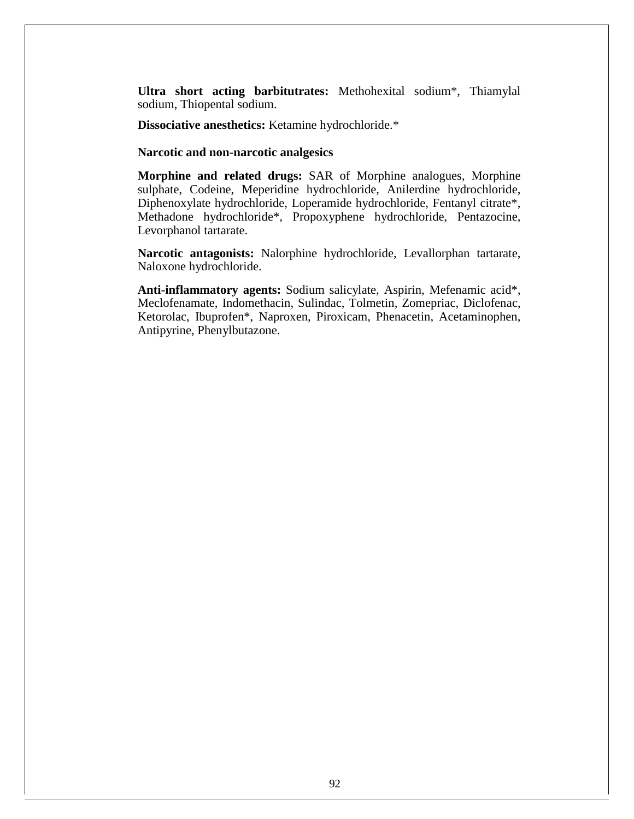**Ultra short acting barbitutrates:** Methohexital sodium\*, Thiamylal sodium, Thiopental sodium.

**Dissociative anesthetics:** Ketamine hydrochloride.\*

## **Narcotic and non-narcotic analgesics**

**Morphine and related drugs:** SAR of Morphine analogues, Morphine sulphate, Codeine, Meperidine hydrochloride, Anilerdine hydrochloride, Diphenoxylate hydrochloride, Loperamide hydrochloride, Fentanyl citrate\*, Methadone hydrochloride\*, Propoxyphene hydrochloride, Pentazocine, Levorphanol tartarate.

**Narcotic antagonists:** Nalorphine hydrochloride, Levallorphan tartarate, Naloxone hydrochloride.

**Anti-inflammatory agents:** Sodium salicylate, Aspirin, Mefenamic acid\*, Meclofenamate, Indomethacin, Sulindac, Tolmetin, Zomepriac, Diclofenac, Ketorolac, Ibuprofen\*, Naproxen, Piroxicam, Phenacetin, Acetaminophen, Antipyrine, Phenylbutazone.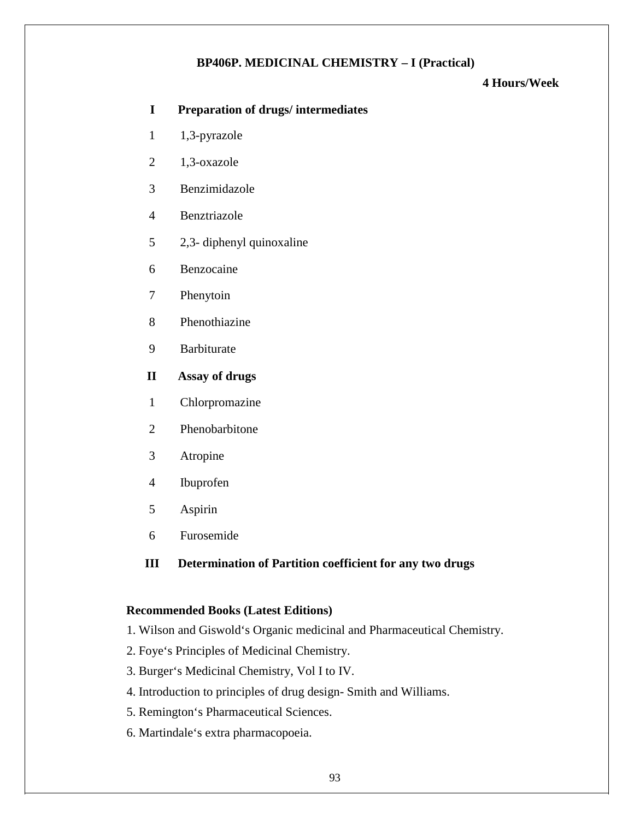# **BP406P. MEDICINAL CHEMISTRY – I (Practical)**

# **4 Hours/Week**

# **I Preparation of drugs/ intermediates**

- 1 1,3-pyrazole
- 2 1,3-oxazole
- 3 Benzimidazole
- 4 Benztriazole
- 5 2,3- diphenyl quinoxaline
- 6 Benzocaine
- 7 Phenytoin
- 8 Phenothiazine
- 9 Barbiturate
- **II Assay of drugs**
- 1 Chlorpromazine
- 2 Phenobarbitone
- 3 Atropine
- 4 Ibuprofen
- 5 Aspirin
- 6 Furosemide

# **III Determination of Partition coefficient for any two drugs**

# **Recommended Books (Latest Editions)**

- 1. Wilson and Giswold's Organic medicinal and Pharmaceutical Chemistry.
- 2. Foye's Principles of Medicinal Chemistry.
- 3. Burger's Medicinal Chemistry, Vol I to IV.
- 4. Introduction to principles of drug design- Smith and Williams.
- 5. Remington's Pharmaceutical Sciences.
- 6. Martindale's extra pharmacopoeia.